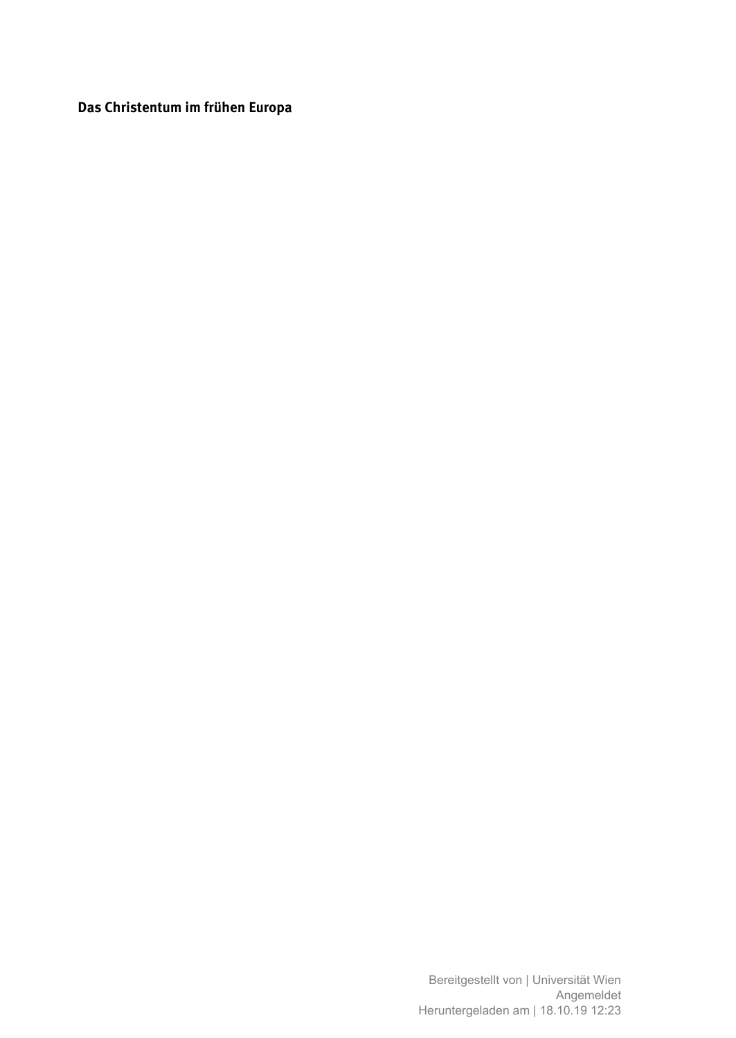**Das Christentum im frühen Europa**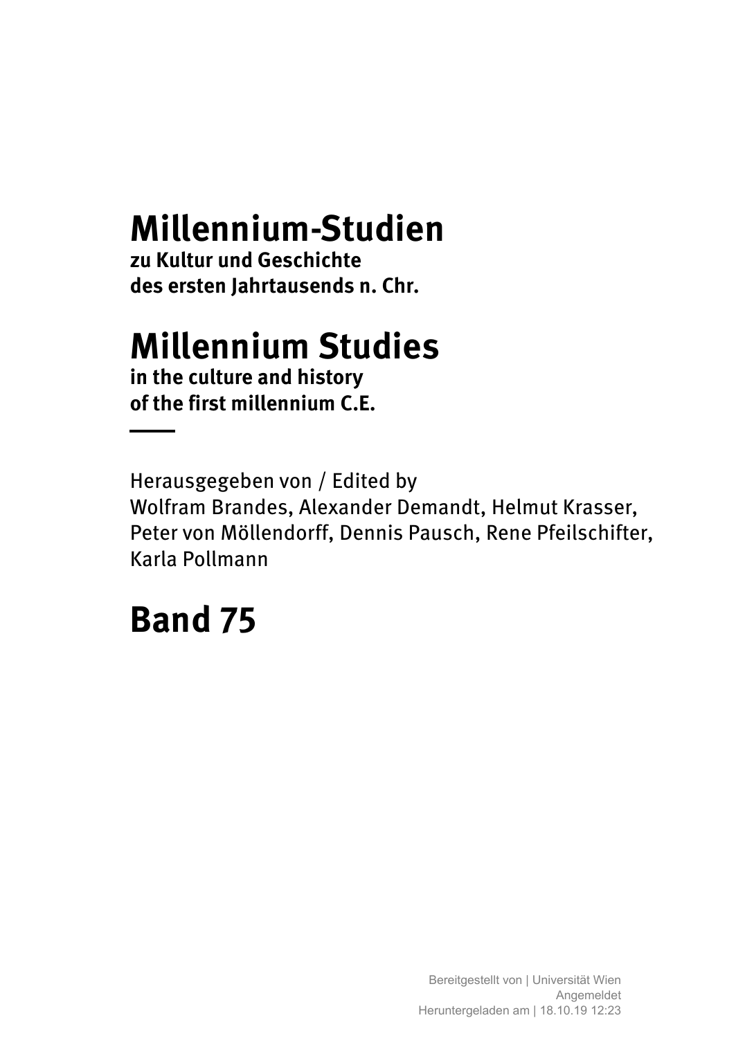# **Millennium-Studien**

**zu Kultur und Geschichte des ersten Jahrtausends n. Chr.**

# **Millennium Studies**

**in the culture and history of the first millennium C.E.**

Herausgegeben von / Edited by Wolfram Brandes, Alexander Demandt, Helmut Krasser, Peter von Möllendorff, Dennis Pausch, Rene Pfeilschifter, Karla Pollmann

# **Band 75**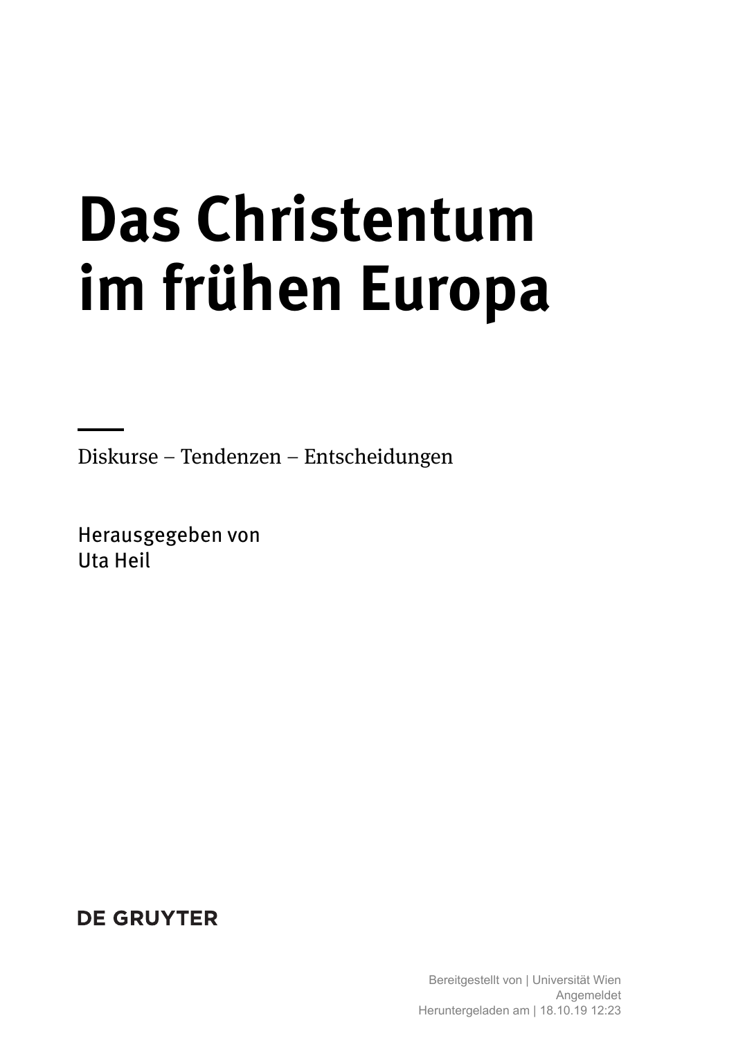# **Das Christentum im frühen Europa**

Diskurse – Tendenzen – Entscheidungen

Herausgegeben von Uta Heil

**DE GRUYTER**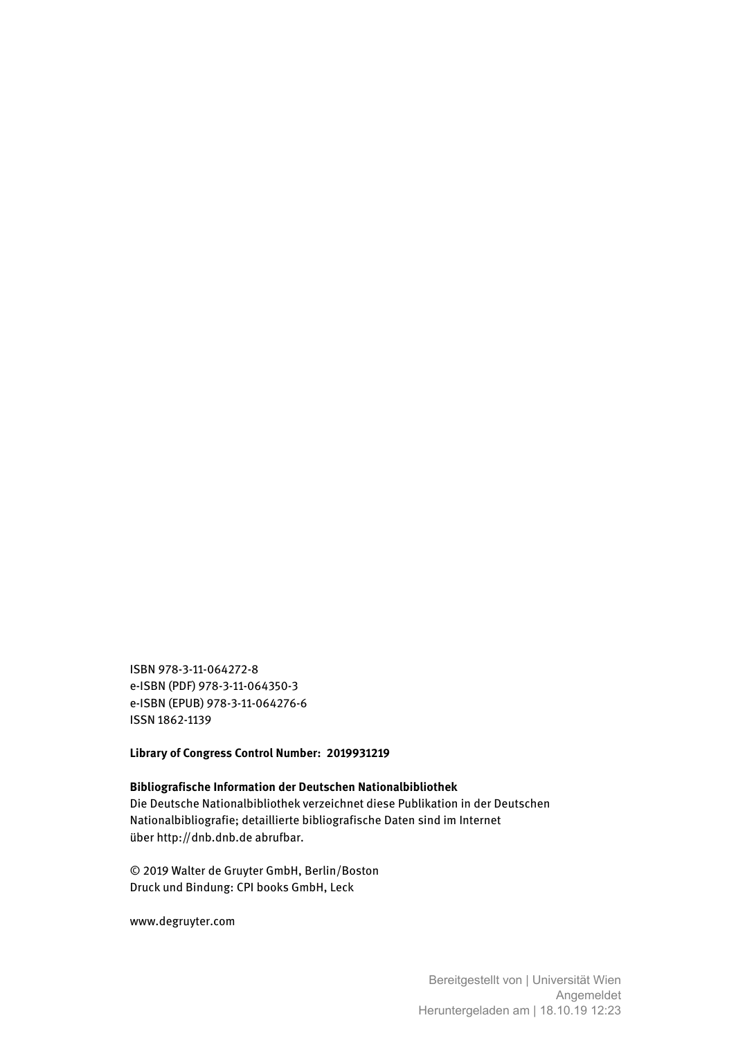ISBN 978-3-11-064272-8 e-ISBN (PDF) 978-3-11-064350-3 e-ISBN (EPUB) 978-3-11-064276-6 ISSN 1862-1139

**Library of Congress Control Number: 2019931219**

#### **Bibliografische Information der Deutschen Nationalbibliothek**

Die Deutsche Nationalbibliothek verzeichnet diese Publikation in der Deutschen Nationalbibliografie; detaillierte bibliografische Daten sind im Internet über http://dnb.dnb.de abrufbar.

© 2019 Walter de Gruyter GmbH, Berlin/Boston Druck und Bindung: CPI books GmbH, Leck

www.degruyter.com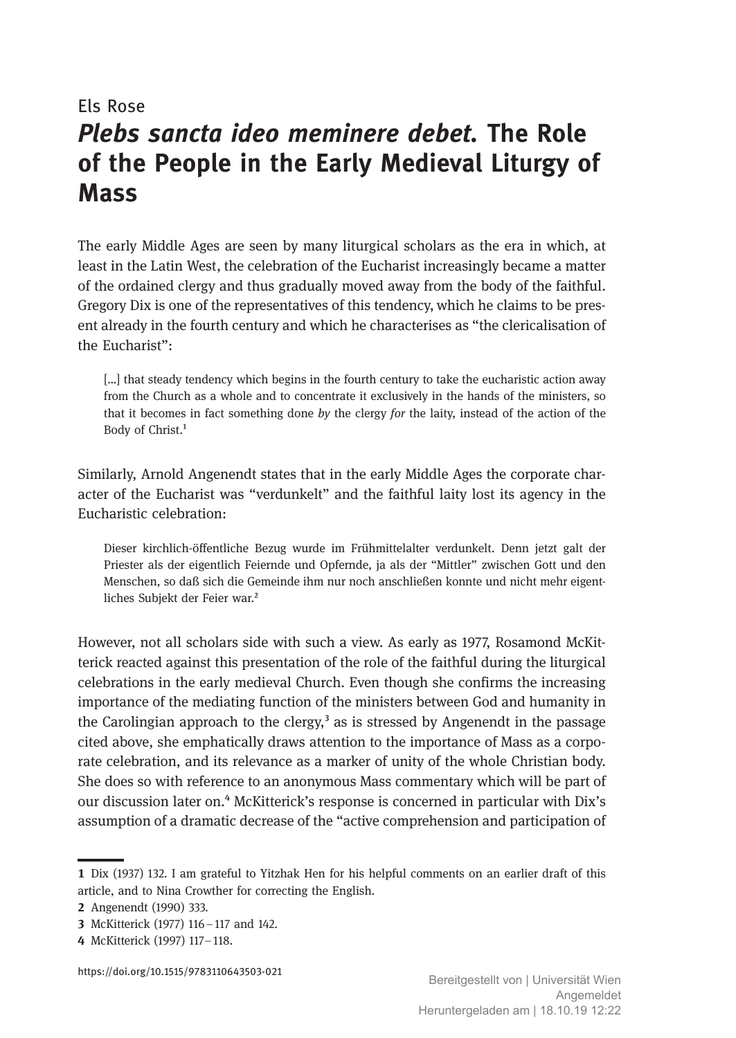#### Els Rose

# Plebs sancta ideo meminere debet. The Role of the People in the Early Medieval Liturgy of Mass

The early Middle Ages are seen by many liturgical scholars as the era in which, at least in the Latin West, the celebration of the Eucharist increasingly became a matter of the ordained clergy and thus gradually moved away from the body of the faithful. Gregory Dix is one of the representatives of this tendency, which he claims to be present already in the fourth century and which he characterises as "the clericalisation of the Eucharist":

[...] that steady tendency which begins in the fourth century to take the eucharistic action away from the Church as a whole and to concentrate it exclusively in the hands of the ministers, so that it becomes in fact something done by the clergy for the laity, instead of the action of the Body of Christ.<sup>1</sup>

Similarly, Arnold Angenendt states that in the early Middle Ages the corporate character of the Eucharist was "verdunkelt" and the faithful laity lost its agency in the Eucharistic celebration:

Dieser kirchlich-öffentliche Bezug wurde im Frühmittelalter verdunkelt. Denn jetzt galt der Priester als der eigentlich Feiernde und Opfernde, ja als der "Mittler" zwischen Gott und den Menschen, so daß sich die Gemeinde ihm nur noch anschließen konnte und nicht mehr eigentliches Subjekt der Feier war.²

However, not all scholars side with such a view. As early as 1977, Rosamond McKitterick reacted against this presentation of the role of the faithful during the liturgical celebrations in the early medieval Church. Even though she confirms the increasing importance of the mediating function of the ministers between God and humanity in the Carolingian approach to the clergy, $3$  as is stressed by Angenendt in the passage cited above, she emphatically draws attention to the importance of Mass as a corporate celebration, and its relevance as a marker of unity of the whole Christian body. She does so with reference to an anonymous Mass commentary which will be part of our discussion later on.<sup>4</sup> McKitterick's response is concerned in particular with Dix's assumption of a dramatic decrease of the "active comprehension and participation of

Dix (1937) 132. I am grateful to Yitzhak Hen for his helpful comments on an earlier draft of this article, and to Nina Crowther for correcting the English.

Angenendt (1990) 333.

<sup>3</sup> McKitterick (1977) 116-117 and 142.

McKitterick (1997) 117–118.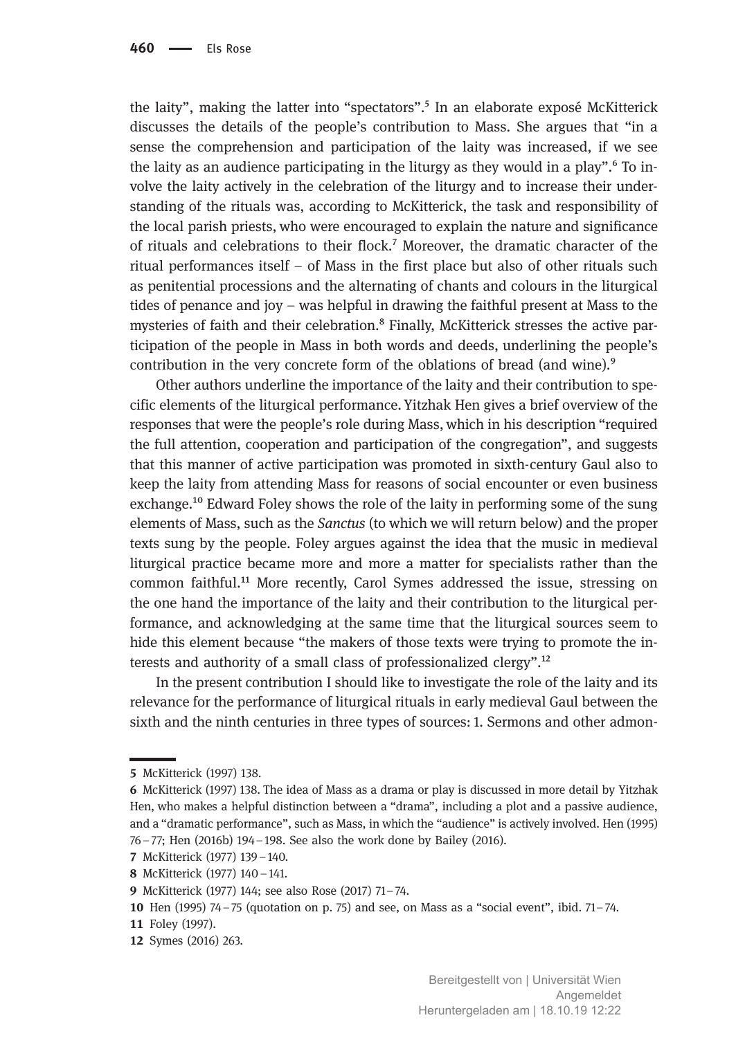the laity", making the latter into "spectators".<sup>5</sup> In an elaborate exposé McKitterick discusses the details of the people's contribution to Mass. She argues that "in a sense the comprehension and participation of the laity was increased, if we see the laity as an audience participating in the liturgy as they would in a play".<sup>6</sup> To involve the laity actively in the celebration of the liturgy and to increase their understanding of the rituals was, according to McKitterick, the task and responsibility of the local parish priests, who were encouraged to explain the nature and significance of rituals and celebrations to their flock.<sup>7</sup> Moreover, the dramatic character of the ritual performances itself – of Mass in the first place but also of other rituals such as penitential processions and the alternating of chants and colours in the liturgical tides of penance and joy – was helpful in drawing the faithful present at Mass to the mysteries of faith and their celebration.<sup>8</sup> Finally, McKitterick stresses the active participation of the people in Mass in both words and deeds, underlining the people's contribution in the very concrete form of the oblations of bread (and wine).<sup>9</sup>

Other authors underline the importance of the laity and their contribution to specific elements of the liturgical performance. Yitzhak Hen gives a brief overview of the responses that were the people's role during Mass, which in his description "required the full attention, cooperation and participation of the congregation", and suggests that this manner of active participation was promoted in sixth-century Gaul also to keep the laity from attending Mass for reasons of social encounter or even business exchange.<sup>10</sup> Edward Foley shows the role of the laity in performing some of the sung elements of Mass, such as the Sanctus (to which we will return below) and the proper texts sung by the people. Foley argues against the idea that the music in medieval liturgical practice became more and more a matter for specialists rather than the common faithful.<sup>11</sup> More recently, Carol Symes addressed the issue, stressing on the one hand the importance of the laity and their contribution to the liturgical performance, and acknowledging at the same time that the liturgical sources seem to hide this element because "the makers of those texts were trying to promote the interests and authority of a small class of professionalized clergy".<sup>12</sup>

In the present contribution I should like to investigate the role of the laity and its relevance for the performance of liturgical rituals in early medieval Gaul between the sixth and the ninth centuries in three types of sources: 1. Sermons and other admon-

McKitterick (1997) 138.

McKitterick (1997) 138. The idea of Mass as a drama or play is discussed in more detail by Yitzhak Hen, who makes a helpful distinction between a "drama", including a plot and a passive audience, and a "dramatic performance", such as Mass, in which the "audience" is actively involved. Hen (1995) 76–77; Hen (2016b) 194–198. See also the work done by Bailey (2016).

<sup>7</sup> McKitterick (1977) 139-140.

McKitterick (1977) 140–141.

McKitterick (1977) 144; see also Rose (2017) 71–74.

<sup>10</sup> Hen (1995) 74 – 75 (quotation on p. 75) and see, on Mass as a "social event", ibid. 71 – 74.

<sup>11</sup> Foley (1997).

<sup>12</sup> Symes (2016) 263.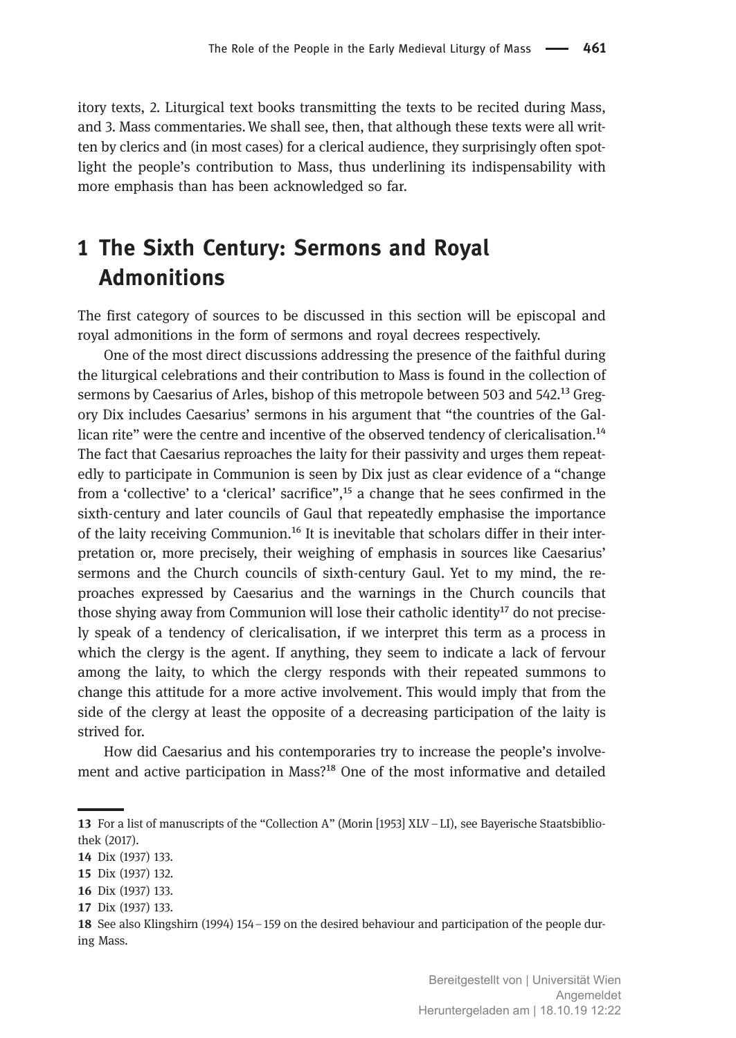itory texts, 2. Liturgical text books transmitting the texts to be recited during Mass, and 3. Mass commentaries.We shall see, then, that although these texts were all written by clerics and (in most cases) for a clerical audience, they surprisingly often spotlight the people's contribution to Mass, thus underlining its indispensability with more emphasis than has been acknowledged so far.

# 1 The Sixth Century: Sermons and Royal Admonitions

The first category of sources to be discussed in this section will be episcopal and royal admonitions in the form of sermons and royal decrees respectively.

One of the most direct discussions addressing the presence of the faithful during the liturgical celebrations and their contribution to Mass is found in the collection of sermons by Caesarius of Arles, bishop of this metropole between 503 and 542.<sup>13</sup> Gregory Dix includes Caesarius' sermons in his argument that "the countries of the Gallican rite" were the centre and incentive of the observed tendency of clericalisation.<sup>14</sup> The fact that Caesarius reproaches the laity for their passivity and urges them repeatedly to participate in Communion is seen by Dix just as clear evidence of a "change from a 'collective' to a 'clerical' sacrifice",  $^{15}$  a change that he sees confirmed in the sixth-century and later councils of Gaul that repeatedly emphasise the importance of the laity receiving Communion.<sup>16</sup> It is inevitable that scholars differ in their interpretation or, more precisely, their weighing of emphasis in sources like Caesarius' sermons and the Church councils of sixth-century Gaul. Yet to my mind, the reproaches expressed by Caesarius and the warnings in the Church councils that those shying away from Communion will lose their catholic identity<sup>17</sup> do not precisely speak of a tendency of clericalisation, if we interpret this term as a process in which the clergy is the agent. If anything, they seem to indicate a lack of fervour among the laity, to which the clergy responds with their repeated summons to change this attitude for a more active involvement. This would imply that from the side of the clergy at least the opposite of a decreasing participation of the laity is strived for.

How did Caesarius and his contemporaries try to increase the people's involvement and active participation in Mass?<sup>18</sup> One of the most informative and detailed

<sup>13</sup> For a list of manuscripts of the "Collection A" (Morin [1953] XLV–LI), see Bayerische Staatsbibliothek (2017).

<sup>14</sup> Dix (1937) 133.

<sup>15</sup> Dix (1937) 132.

<sup>16</sup> Dix (1937) 133.

<sup>17</sup> Dix (1937) 133.

<sup>18</sup> See also Klingshirn (1994) 154–159 on the desired behaviour and participation of the people during Mass.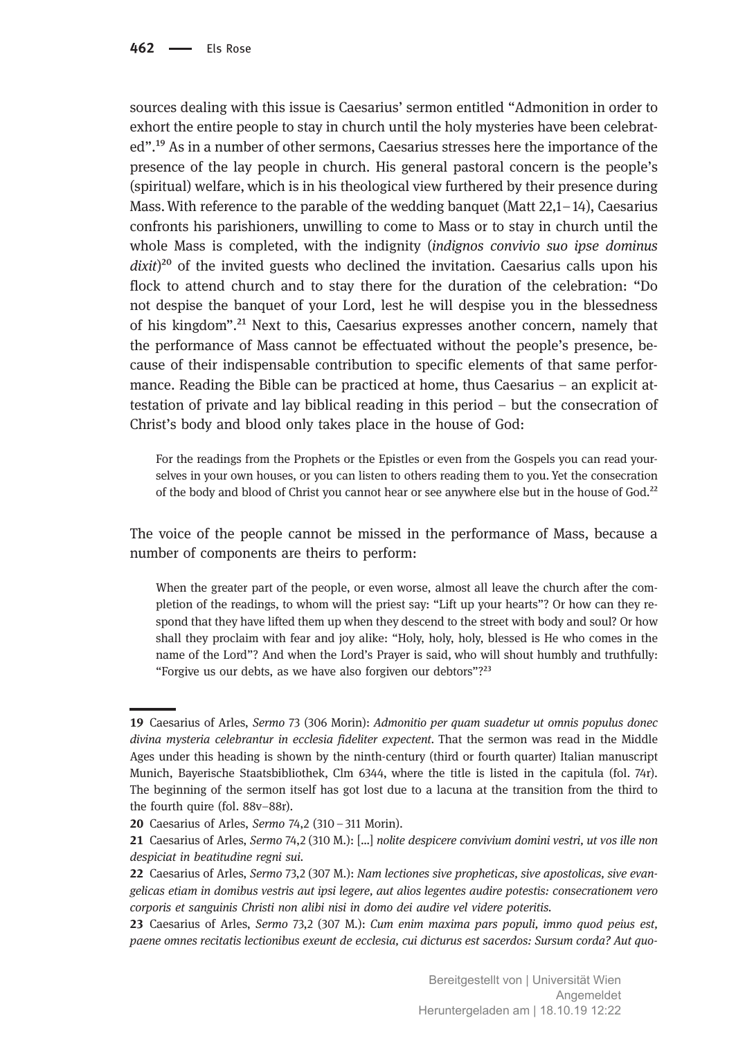sources dealing with this issue is Caesarius' sermon entitled "Admonition in order to exhort the entire people to stay in church until the holy mysteries have been celebrated".<sup>19</sup> As in a number of other sermons, Caesarius stresses here the importance of the presence of the lay people in church. His general pastoral concern is the people's (spiritual) welfare, which is in his theological view furthered by their presence during Mass. With reference to the parable of the wedding banquet (Matt  $22,1-14$ ), Caesarius confronts his parishioners, unwilling to come to Mass or to stay in church until the whole Mass is completed, with the indignity (indignos convivio suo ipse dominus  $dixit)^{20}$  of the invited guests who declined the invitation. Caesarius calls upon his flock to attend church and to stay there for the duration of the celebration: "Do not despise the banquet of your Lord, lest he will despise you in the blessedness of his kingdom". $^{21}$  Next to this, Caesarius expresses another concern, namely that the performance of Mass cannot be effectuated without the people's presence, because of their indispensable contribution to specific elements of that same performance. Reading the Bible can be practiced at home, thus Caesarius – an explicit attestation of private and lay biblical reading in this period – but the consecration of Christ's body and blood only takes place in the house of God:

For the readings from the Prophets or the Epistles or even from the Gospels you can read yourselves in your own houses, or you can listen to others reading them to you. Yet the consecration of the body and blood of Christ you cannot hear or see anywhere else but in the house of God.²²

The voice of the people cannot be missed in the performance of Mass, because a number of components are theirs to perform:

When the greater part of the people, or even worse, almost all leave the church after the completion of the readings, to whom will the priest say: "Lift up your hearts"? Or how can they respond that they have lifted them up when they descend to the street with body and soul? Or how shall they proclaim with fear and joy alike: "Holy, holy, holy, blessed is He who comes in the name of the Lord"? And when the Lord's Prayer is said, who will shout humbly and truthfully: "Forgive us our debts, as we have also forgiven our debtors"?<sup>23</sup>

Caesarius of Arles, Sermo 73 (306 Morin): Admonitio per quam suadetur ut omnis populus donec divina mysteria celebrantur in ecclesia fideliter expectent. That the sermon was read in the Middle Ages under this heading is shown by the ninth-century (third or fourth quarter) Italian manuscript Munich, Bayerische Staatsbibliothek, Clm 6344, where the title is listed in the capitula (fol. 74r). The beginning of the sermon itself has got lost due to a lacuna at the transition from the third to the fourth quire (fol. 88v–88r).

Caesarius of Arles, Sermo 74,2 (310–311 Morin).

<sup>21</sup> Caesarius of Arles, Sermo 74,2 (310 M.): [...] nolite despicere convivium domini vestri, ut vos ille non despiciat in beatitudine regni sui.

<sup>22</sup> Caesarius of Arles, Sermo 73,2 (307 M.): Nam lectiones sive propheticas, sive apostolicas, sive evangelicas etiam in domibus vestris aut ipsi legere, aut alios legentes audire potestis: consecrationem vero corporis et sanguinis Christi non alibi nisi in domo dei audire vel videre poteritis.

<sup>23</sup> Caesarius of Arles, Sermo 73,2 (307 M.): Cum enim maxima pars populi, immo quod peius est, paene omnes recitatis lectionibus exeunt de ecclesia, cui dicturus est sacerdos: Sursum corda? Aut quo-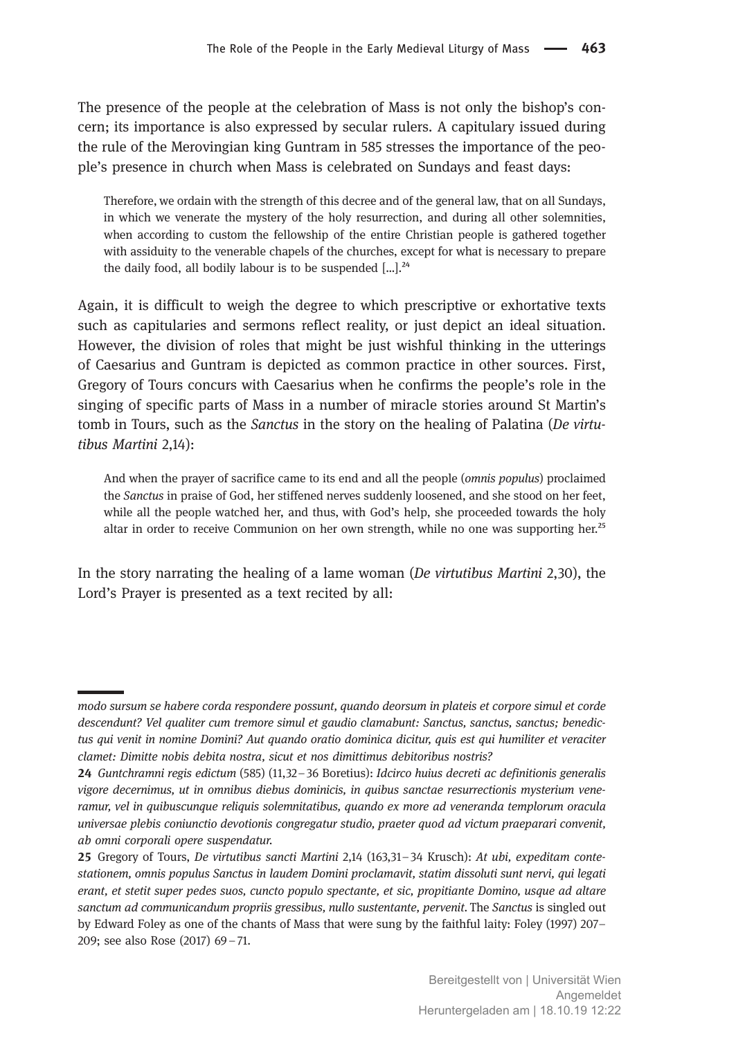The presence of the people at the celebration of Mass is not only the bishop's concern; its importance is also expressed by secular rulers. A capitulary issued during the rule of the Merovingian king Guntram in 585 stresses the importance of the people's presence in church when Mass is celebrated on Sundays and feast days:

Therefore, we ordain with the strength of this decree and of the general law, that on all Sundays, in which we venerate the mystery of the holy resurrection, and during all other solemnities, when according to custom the fellowship of the entire Christian people is gathered together with assiduity to the venerable chapels of the churches, except for what is necessary to prepare the daily food, all bodily labour is to be suspended  $[\dots]$ .<sup>24</sup>

Again, it is difficult to weigh the degree to which prescriptive or exhortative texts such as capitularies and sermons reflect reality, or just depict an ideal situation. However, the division of roles that might be just wishful thinking in the utterings of Caesarius and Guntram is depicted as common practice in other sources. First, Gregory of Tours concurs with Caesarius when he confirms the people's role in the singing of specific parts of Mass in a number of miracle stories around St Martin's tomb in Tours, such as the *Sanctus* in the story on the healing of Palatina (De virtutibus Martini 2,14):

And when the prayer of sacrifice came to its end and all the people (omnis populus) proclaimed the Sanctus in praise of God, her stiffened nerves suddenly loosened, and she stood on her feet, while all the people watched her, and thus, with God's help, she proceeded towards the holy altar in order to receive Communion on her own strength, while no one was supporting her.<sup>25</sup>

In the story narrating the healing of a lame woman (De virtutibus Martini 2,30), the Lord's Prayer is presented as a text recited by all:

modo sursum se habere corda respondere possunt, quando deorsum in plateis et corpore simul et corde descendunt? Vel qualiter cum tremore simul et gaudio clamabunt: Sanctus, sanctus, sanctus; benedictus qui venit in nomine Domini? Aut quando oratio dominica dicitur, quis est qui humiliter et veraciter clamet: Dimitte nobis debita nostra, sicut et nos dimittimus debitoribus nostris?

Guntchramni regis edictum (585) (11,32–36 Boretius): Idcirco huius decreti ac definitionis generalis vigore decernimus, ut in omnibus diebus dominicis, in quibus sanctae resurrectionis mysterium veneramur, vel in quibuscunque reliquis solemnitatibus, quando ex more ad veneranda templorum oracula universae plebis coniunctio devotionis congregatur studio, praeter quod ad victum praeparari convenit, ab omni corporali opere suspendatur.

<sup>25</sup> Gregory of Tours, De virtutibus sancti Martini 2,14 (163,31-34 Krusch): At ubi, expeditam contestationem, omnis populus Sanctus in laudem Domini proclamavit, statim dissoluti sunt nervi, qui legati erant, et stetit super pedes suos, cuncto populo spectante, et sic, propitiante Domino, usque ad altare sanctum ad communicandum propriis gressibus, nullo sustentante, pervenit. The Sanctus is singled out by Edward Foley as one of the chants of Mass that were sung by the faithful laity: Foley (1997) 207– 209; see also Rose (2017) 69–71.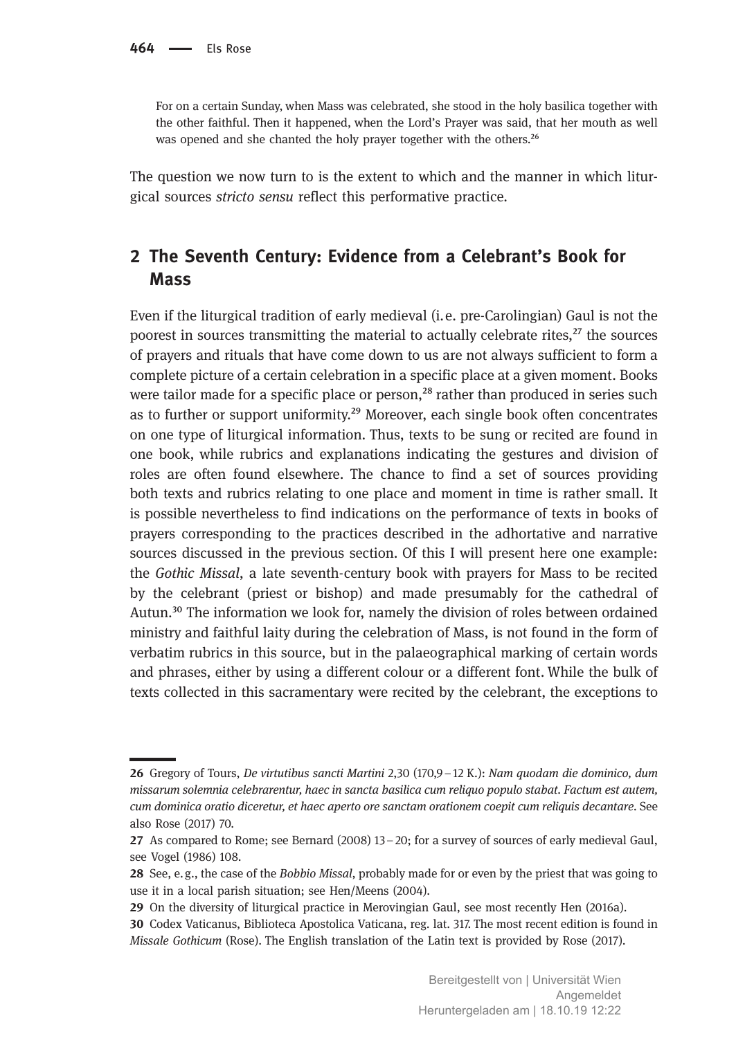For on a certain Sunday, when Mass was celebrated, she stood in the holy basilica together with the other faithful. Then it happened, when the Lord's Prayer was said, that her mouth as well was opened and she chanted the holy prayer together with the others.<sup>26</sup>

The question we now turn to is the extent to which and the manner in which liturgical sources stricto sensu reflect this performative practice.

## 2 The Seventh Century: Evidence from a Celebrant's Book for Mass

Even if the liturgical tradition of early medieval (i.e. pre-Carolingian) Gaul is not the poorest in sources transmitting the material to actually celebrate rites, $^{27}$  the sources of prayers and rituals that have come down to us are not always sufficient to form a complete picture of a certain celebration in a specific place at a given moment. Books were tailor made for a specific place or person, $^{28}$  rather than produced in series such as to further or support uniformity.<sup>29</sup> Moreover, each single book often concentrates on one type of liturgical information. Thus, texts to be sung or recited are found in one book, while rubrics and explanations indicating the gestures and division of roles are often found elsewhere. The chance to find a set of sources providing both texts and rubrics relating to one place and moment in time is rather small. It is possible nevertheless to find indications on the performance of texts in books of prayers corresponding to the practices described in the adhortative and narrative sources discussed in the previous section. Of this I will present here one example: the Gothic Missal, a late seventh-century book with prayers for Mass to be recited by the celebrant (priest or bishop) and made presumably for the cathedral of Autun.<sup>30</sup> The information we look for, namely the division of roles between ordained ministry and faithful laity during the celebration of Mass, is not found in the form of verbatim rubrics in this source, but in the palaeographical marking of certain words and phrases, either by using a different colour or a different font. While the bulk of texts collected in this sacramentary were recited by the celebrant, the exceptions to

Gregory of Tours, De virtutibus sancti Martini 2,30 (170,9–12 K.): Nam quodam die dominico, dum missarum solemnia celebrarentur, haec in sancta basilica cum reliquo populo stabat. Factum est autem, cum dominica oratio diceretur, et haec aperto ore sanctam orationem coepit cum reliquis decantare. See also Rose (2017) 70.

<sup>27</sup> As compared to Rome; see Bernard  $(2008)$  13 – 20; for a survey of sources of early medieval Gaul, see Vogel (1986) 108.

<sup>28</sup> See, e.g., the case of the Bobbio Missal, probably made for or even by the priest that was going to use it in a local parish situation; see Hen/Meens (2004).

<sup>29</sup> On the diversity of liturgical practice in Merovingian Gaul, see most recently Hen (2016a).

<sup>30</sup> Codex Vaticanus, Biblioteca Apostolica Vaticana, reg. lat. 317. The most recent edition is found in Missale Gothicum (Rose). The English translation of the Latin text is provided by Rose (2017).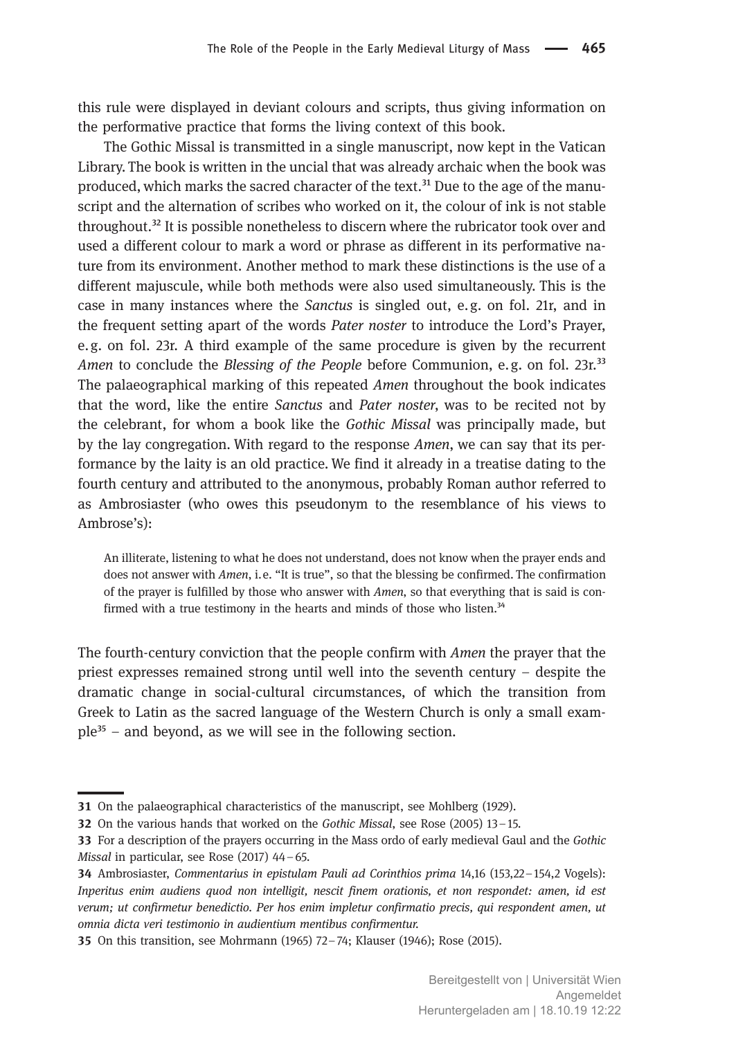this rule were displayed in deviant colours and scripts, thus giving information on the performative practice that forms the living context of this book.

The Gothic Missal is transmitted in a single manuscript, now kept in the Vatican Library. The book is written in the uncial that was already archaic when the book was produced, which marks the sacred character of the text.<sup>31</sup> Due to the age of the manuscript and the alternation of scribes who worked on it, the colour of ink is not stable throughout. $32$  It is possible nonetheless to discern where the rubricator took over and used a different colour to mark a word or phrase as different in its performative nature from its environment. Another method to mark these distinctions is the use of a different majuscule, while both methods were also used simultaneously. This is the case in many instances where the Sanctus is singled out, e. g. on fol. 21r, and in the frequent setting apart of the words Pater noster to introduce the Lord's Prayer, e. g. on fol. 23r. A third example of the same procedure is given by the recurrent Amen to conclude the Blessing of the People before Communion, e.g. on fol.  $23r$ <sup>33</sup> The palaeographical marking of this repeated Amen throughout the book indicates that the word, like the entire *Sanctus* and *Pater noster*, was to be recited not by the celebrant, for whom a book like the Gothic Missal was principally made, but by the lay congregation. With regard to the response Amen, we can say that its performance by the laity is an old practice. We find it already in a treatise dating to the fourth century and attributed to the anonymous, probably Roman author referred to as Ambrosiaster (who owes this pseudonym to the resemblance of his views to Ambrose's):

An illiterate, listening to what he does not understand, does not know when the prayer ends and does not answer with Amen, i.e. "It is true", so that the blessing be confirmed. The confirmation of the prayer is fulfilled by those who answer with Amen, so that everything that is said is confirmed with a true testimony in the hearts and minds of those who listen.<sup>34</sup>

The fourth-century conviction that the people confirm with Amen the prayer that the priest expresses remained strong until well into the seventh century – despite the dramatic change in social-cultural circumstances, of which the transition from Greek to Latin as the sacred language of the Western Church is only a small exam $ple^{35}$  – and beyond, as we will see in the following section.

<sup>31</sup> On the palaeographical characteristics of the manuscript, see Mohlberg (1929).

<sup>32</sup> On the various hands that worked on the Gothic Missal, see Rose (2005)  $13-15$ .

<sup>33</sup> For a description of the prayers occurring in the Mass ordo of early medieval Gaul and the Gothic Missal in particular, see Rose (2017) 44–65.

<sup>34</sup> Ambrosiaster, Commentarius in epistulam Pauli ad Corinthios prima 14,16 (153,22-154,2 Vogels): Inperitus enim audiens quod non intelligit, nescit finem orationis, et non respondet: amen, id est verum; ut confirmetur benedictio. Per hos enim impletur confirmatio precis, qui respondent amen, ut omnia dicta veri testimonio in audientium mentibus confirmentur.

On this transition, see Mohrmann (1965) 72–74; Klauser (1946); Rose (2015).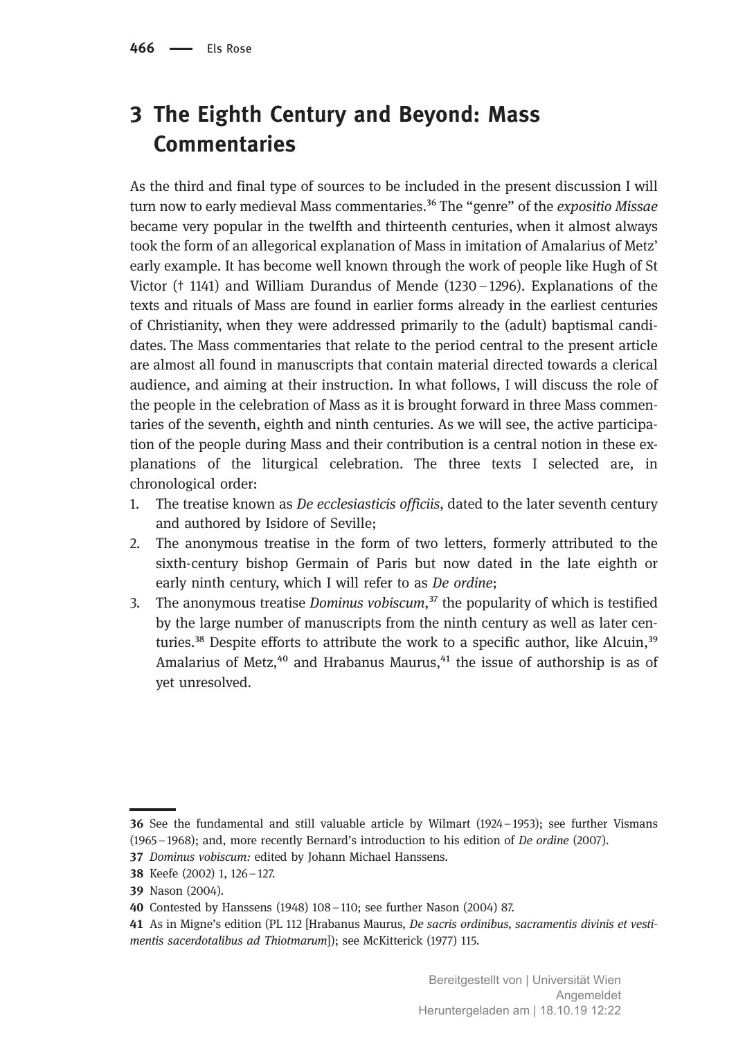# 3 The Eighth Century and Beyond: Mass Commentaries

As the third and final type of sources to be included in the present discussion I will turn now to early medieval Mass commentaries.<sup>36</sup> The "genre" of the *expositio Missae* became very popular in the twelfth and thirteenth centuries, when it almost always took the form of an allegorical explanation of Mass in imitation of Amalarius of Metz' early example. It has become well known through the work of people like Hugh of St Victor († 1141) and William Durandus of Mende (1230 –1296). Explanations of the texts and rituals of Mass are found in earlier forms already in the earliest centuries of Christianity, when they were addressed primarily to the (adult) baptismal candidates. The Mass commentaries that relate to the period central to the present article are almost all found in manuscripts that contain material directed towards a clerical audience, and aiming at their instruction. In what follows, I will discuss the role of the people in the celebration of Mass as it is brought forward in three Mass commentaries of the seventh, eighth and ninth centuries. As we will see, the active participation of the people during Mass and their contribution is a central notion in these explanations of the liturgical celebration. The three texts I selected are, in chronological order:

- 1. The treatise known as *De ecclesiasticis officiis*, dated to the later seventh century and authored by Isidore of Seville;
- 2. The anonymous treatise in the form of two letters, formerly attributed to the sixth-century bishop Germain of Paris but now dated in the late eighth or early ninth century, which I will refer to as De ordine;
- 3. The anonymous treatise *Dominus vobiscum*,<sup>37</sup> the popularity of which is testified by the large number of manuscripts from the ninth century as well as later centuries.<sup>38</sup> Despite efforts to attribute the work to a specific author, like Alcuin,<sup>39</sup> Amalarius of Metz, $40$  and Hrabanus Maurus, $41$  the issue of authorship is as of yet unresolved.

See the fundamental and still valuable article by Wilmart (1924–1953); see further Vismans (1965–1968); and, more recently Bernard's introduction to his edition of De ordine (2007).

<sup>37</sup> Dominus vobiscum: edited by Johann Michael Hanssens.

<sup>38</sup> Keefe (2002) 1, 126 - 127.

<sup>39</sup> Nason (2004).

Contested by Hanssens (1948) 108–110; see further Nason (2004) 87.

As in Migne's edition (PL 112 [Hrabanus Maurus, De sacris ordinibus, sacramentis divinis et vestimentis sacerdotalibus ad Thiotmarum]); see McKitterick (1977) 115.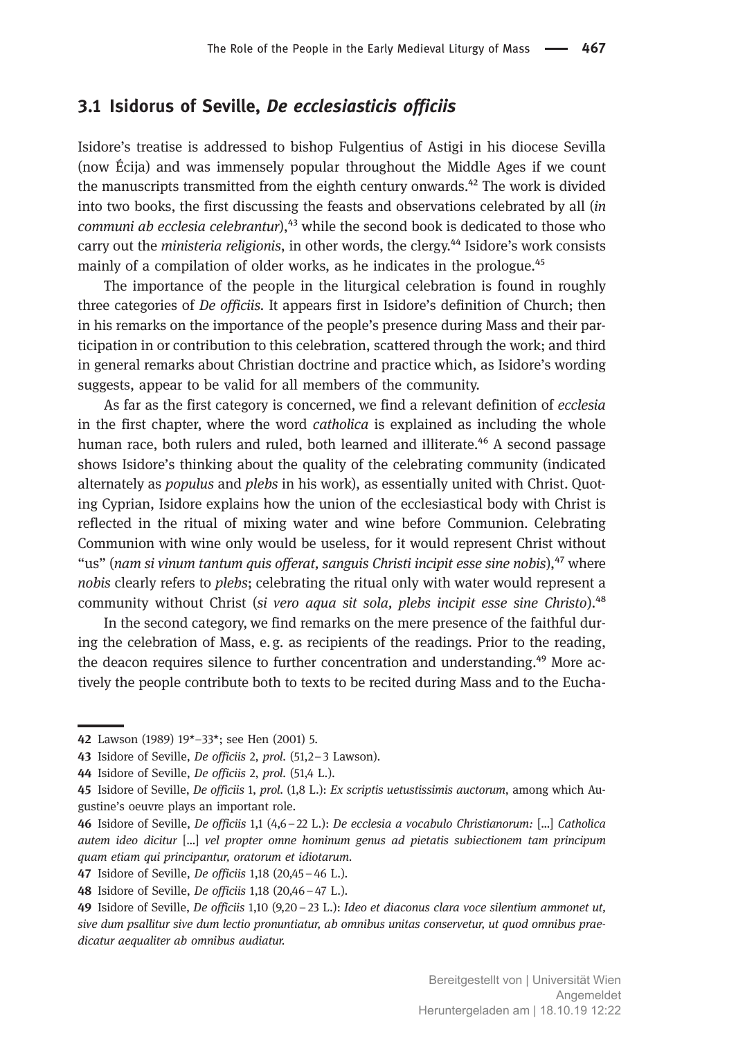## 3.1 Isidorus of Seville, De ecclesiasticis officiis

Isidore's treatise is addressed to bishop Fulgentius of Astigi in his diocese Sevilla (now Écija) and was immensely popular throughout the Middle Ages if we count the manuscripts transmitted from the eighth century onwards. $^{42}$  The work is divided into two books, the first discussing the feasts and observations celebrated by all (in communi ab ecclesia celebrantur), $43$  while the second book is dedicated to those who carry out the *ministeria religionis*, in other words, the clergy.<sup>44</sup> Isidore's work consists mainly of a compilation of older works, as he indicates in the prologue.<sup>45</sup>

The importance of the people in the liturgical celebration is found in roughly three categories of De officiis. It appears first in Isidore's definition of Church; then in his remarks on the importance of the people's presence during Mass and their participation in or contribution to this celebration, scattered through the work; and third in general remarks about Christian doctrine and practice which, as Isidore's wording suggests, appear to be valid for all members of the community.

As far as the first category is concerned, we find a relevant definition of ecclesia in the first chapter, where the word catholica is explained as including the whole human race, both rulers and ruled, both learned and illiterate.<sup>46</sup> A second passage shows Isidore's thinking about the quality of the celebrating community (indicated alternately as populus and plebs in his work), as essentially united with Christ. Quoting Cyprian, Isidore explains how the union of the ecclesiastical body with Christ is reflected in the ritual of mixing water and wine before Communion. Celebrating Communion with wine only would be useless, for it would represent Christ without "us" (nam si vinum tantum quis offerat, sanguis Christi incipit esse sine nobis), <sup>47</sup> where nobis clearly refers to plebs; celebrating the ritual only with water would represent a community without Christ (si vero aqua sit sola, plebs incipit esse sine Christo).<sup>48</sup>

In the second category, we find remarks on the mere presence of the faithful during the celebration of Mass, e.g. as recipients of the readings. Prior to the reading, the deacon requires silence to further concentration and understanding.<sup>49</sup> More actively the people contribute both to texts to be recited during Mass and to the Eucha-

Lawson (1989) 19\*–33\*; see Hen (2001) 5.

<sup>43</sup> Isidore of Seville, De officiis 2, prol. (51,2-3 Lawson).

<sup>44</sup> Isidore of Seville, De officiis 2, prol. (51,4 L.).

<sup>45</sup> Isidore of Seville, De officiis 1, prol. (1,8 L.): Ex scriptis uetustissimis auctorum, among which Augustine's oeuvre plays an important role.

Isidore of Seville, De officiis 1,1 (4,6–22 L.): De ecclesia a vocabulo Christianorum: […] Catholica autem ideo dicitur […] vel propter omne hominum genus ad pietatis subiectionem tam principum quam etiam qui principantur, oratorum et idiotarum.

<sup>47</sup> Isidore of Seville, *De officiis* 1,18 (20,45 - 46 L.).

<sup>48</sup> Isidore of Seville, *De officiis* 1,18 (20,46 - 47 L.).

Isidore of Seville, De officiis 1,10 (9,20–23 L.): Ideo et diaconus clara voce silentium ammonet ut, sive dum psallitur sive dum lectio pronuntiatur, ab omnibus unitas conservetur, ut quod omnibus praedicatur aequaliter ab omnibus audiatur.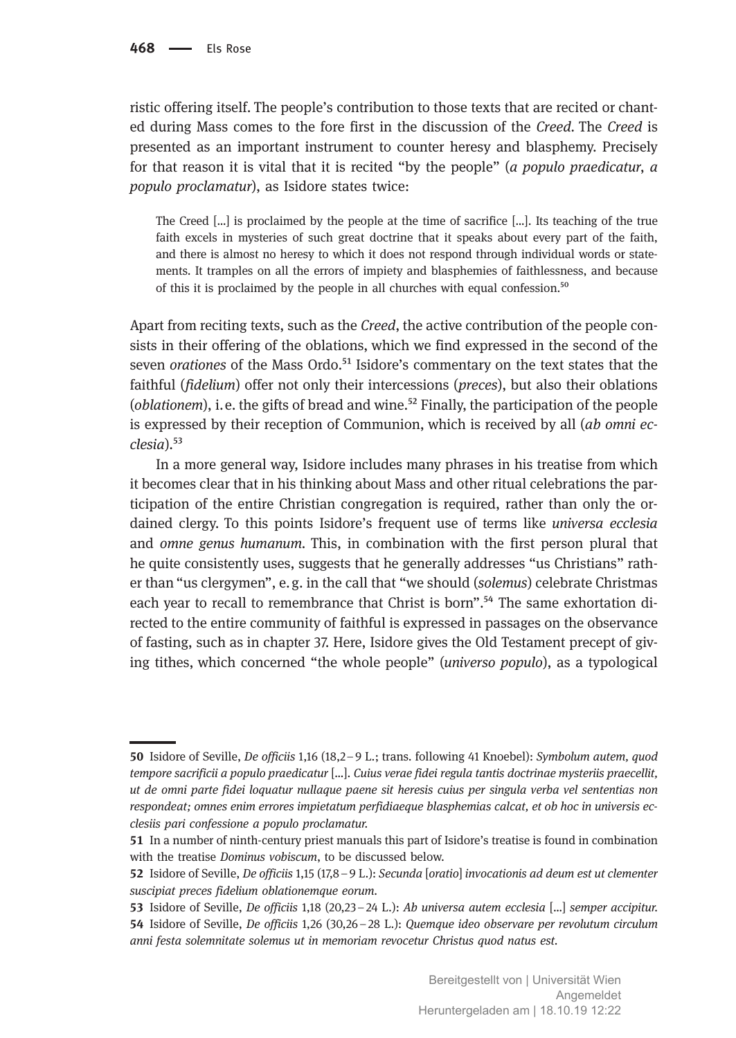ristic offering itself. The people's contribution to those texts that are recited or chanted during Mass comes to the fore first in the discussion of the Creed. The Creed is presented as an important instrument to counter heresy and blasphemy. Precisely for that reason it is vital that it is recited "by the people" (a populo praedicatur, a populo proclamatur), as Isidore states twice:

The Creed […] is proclaimed by the people at the time of sacrifice […]. Its teaching of the true faith excels in mysteries of such great doctrine that it speaks about every part of the faith, and there is almost no heresy to which it does not respond through individual words or statements. It tramples on all the errors of impiety and blasphemies of faithlessness, and because of this it is proclaimed by the people in all churches with equal confession.<sup>50</sup>

Apart from reciting texts, such as the Creed, the active contribution of the people consists in their offering of the oblations, which we find expressed in the second of the seven *orationes* of the Mass Ordo.<sup>51</sup> Isidore's commentary on the text states that the faithful (*fidelium*) offer not only their intercessions (*preces*), but also their oblations (*oblationem*), i.e. the gifts of bread and wine.<sup>52</sup> Finally, the participation of the people is expressed by their reception of Communion, which is received by all (ab omni ec $clesia).$ <sup>53</sup>

In a more general way, Isidore includes many phrases in his treatise from which it becomes clear that in his thinking about Mass and other ritual celebrations the participation of the entire Christian congregation is required, rather than only the ordained clergy. To this points Isidore's frequent use of terms like universa ecclesia and omne genus humanum. This, in combination with the first person plural that he quite consistently uses, suggests that he generally addresses "us Christians" rather than "us clergymen", e. g. in the call that "we should (solemus) celebrate Christmas each year to recall to remembrance that Christ is born".<sup>54</sup> The same exhortation directed to the entire community of faithful is expressed in passages on the observance of fasting, such as in chapter 37. Here, Isidore gives the Old Testament precept of giving tithes, which concerned "the whole people" (universo populo), as a typological

**<sup>50</sup>** Isidore of Seville, *De officiis* 1,16 (18,2–9 L.; trans. following 41 Knoebel): Symbolum autem, quod tempore sacrificii a populo praedicatur […]. Cuius verae fidei regula tantis doctrinae mysteriis praecellit, ut de omni parte fidei loquatur nullaque paene sit heresis cuius per singula verba vel sententias non respondeat; omnes enim errores impietatum perfidiaeque blasphemias calcat, et ob hoc in universis ecclesiis pari confessione a populo proclamatur.

<sup>51</sup> In a number of ninth-century priest manuals this part of Isidore's treatise is found in combination with the treatise Dominus vobiscum, to be discussed below.

<sup>52</sup> Isidore of Seville, De officiis 1,15 (17,8 - 9 L.): Secunda [oratio] invocationis ad deum est ut clementer suscipiat preces fidelium oblationemque eorum.

<sup>53</sup> Isidore of Seville, De officiis 1,18 (20,23 – 24 L.): Ab universa autem ecclesia [...] semper accipitur. 54 Isidore of Seville, De officiis 1,26 (30,26 - 28 L.): Quemque ideo observare per revolutum circulum anni festa solemnitate solemus ut in memoriam revocetur Christus quod natus est.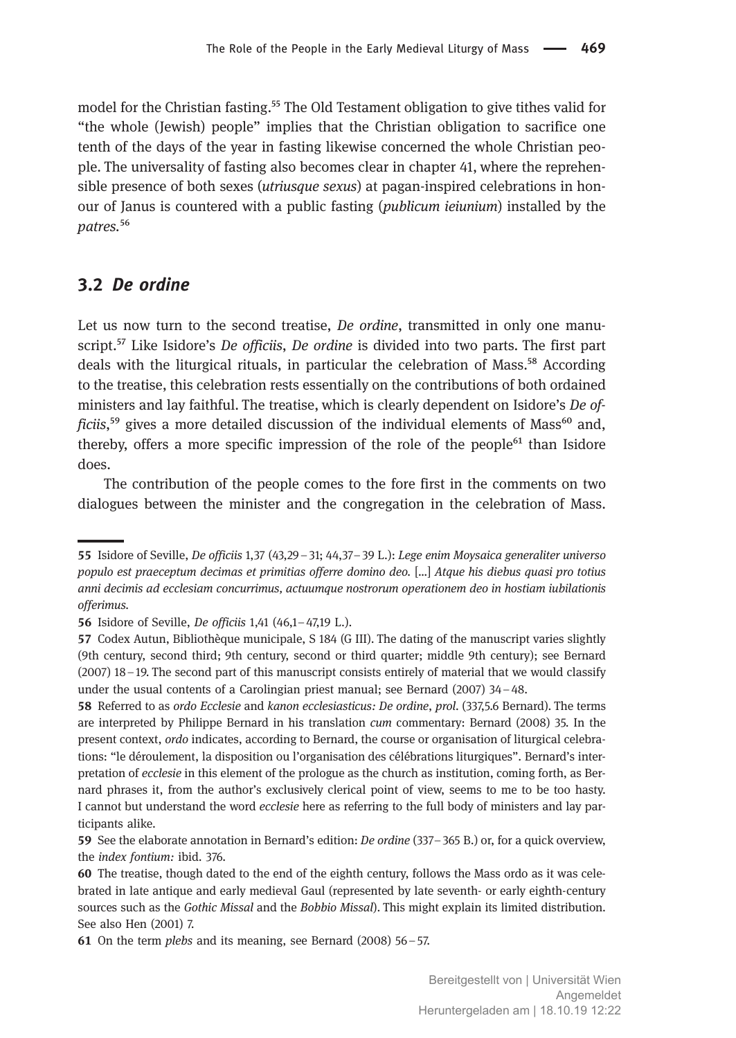model for the Christian fasting.<sup>55</sup> The Old Testament obligation to give tithes valid for "the whole (Jewish) people" implies that the Christian obligation to sacrifice one tenth of the days of the year in fasting likewise concerned the whole Christian people. The universality of fasting also becomes clear in chapter 41, where the reprehensible presence of both sexes *(utriusque sexus)* at pagan-inspired celebrations in honour of Janus is countered with a public fasting (publicum ieiunium) installed by the patres.<sup>56</sup>

#### 3.2 De ordine

Let us now turn to the second treatise, *De ordine*, transmitted in only one manuscript.<sup>57</sup> Like Isidore's *De officiis*, *De ordine* is divided into two parts. The first part deals with the liturgical rituals, in particular the celebration of Mass.<sup>58</sup> According to the treatise, this celebration rests essentially on the contributions of both ordained ministers and lay faithful. The treatise, which is clearly dependent on Isidore's De officiis,<sup>59</sup> gives a more detailed discussion of the individual elements of Mass<sup>60</sup> and, thereby, offers a more specific impression of the role of the people<sup>61</sup> than Isidore does.

The contribution of the people comes to the fore first in the comments on two dialogues between the minister and the congregation in the celebration of Mass.

Isidore of Seville, De officiis 1,37 (43,29–31; 44,37–39 L.): Lege enim Moysaica generaliter universo populo est praeceptum decimas et primitias offerre domino deo. […] Atque his diebus quasi pro totius anni decimis ad ecclesiam concurrimus, actuumque nostrorum operationem deo in hostiam iubilationis offerimus.

**<sup>56</sup>** Isidore of Seville, *De officiis* 1,41 (46,1-47,19 L.).

<sup>57</sup> Codex Autun, Bibliothèque municipale, S 184 (G III). The dating of the manuscript varies slightly (9th century, second third; 9th century, second or third quarter; middle 9th century); see Bernard (2007) 18–19. The second part of this manuscript consists entirely of material that we would classify under the usual contents of a Carolingian priest manual; see Bernard (2007) 34–48.

<sup>58</sup> Referred to as ordo Ecclesie and kanon ecclesiasticus: De ordine, prol. (337,5.6 Bernard). The terms are interpreted by Philippe Bernard in his translation cum commentary: Bernard (2008) 35. In the present context, *ordo* indicates, according to Bernard, the course or organisation of liturgical celebrations: "le déroulement, la disposition ou l'organisation des célébrations liturgiques". Bernard's interpretation of ecclesie in this element of the prologue as the church as institution, coming forth, as Bernard phrases it, from the author's exclusively clerical point of view, seems to me to be too hasty. I cannot but understand the word ecclesie here as referring to the full body of ministers and lay participants alike.

<sup>59</sup> See the elaborate annotation in Bernard's edition: *De ordine* (337–365 B.) or, for a quick overview, the index fontium: ibid. 376.

The treatise, though dated to the end of the eighth century, follows the Mass ordo as it was celebrated in late antique and early medieval Gaul (represented by late seventh- or early eighth-century sources such as the Gothic Missal and the Bobbio Missal). This might explain its limited distribution. See also Hen (2001) 7.

<sup>61</sup> On the term *plebs* and its meaning, see Bernard  $(2008)$  56 – 57.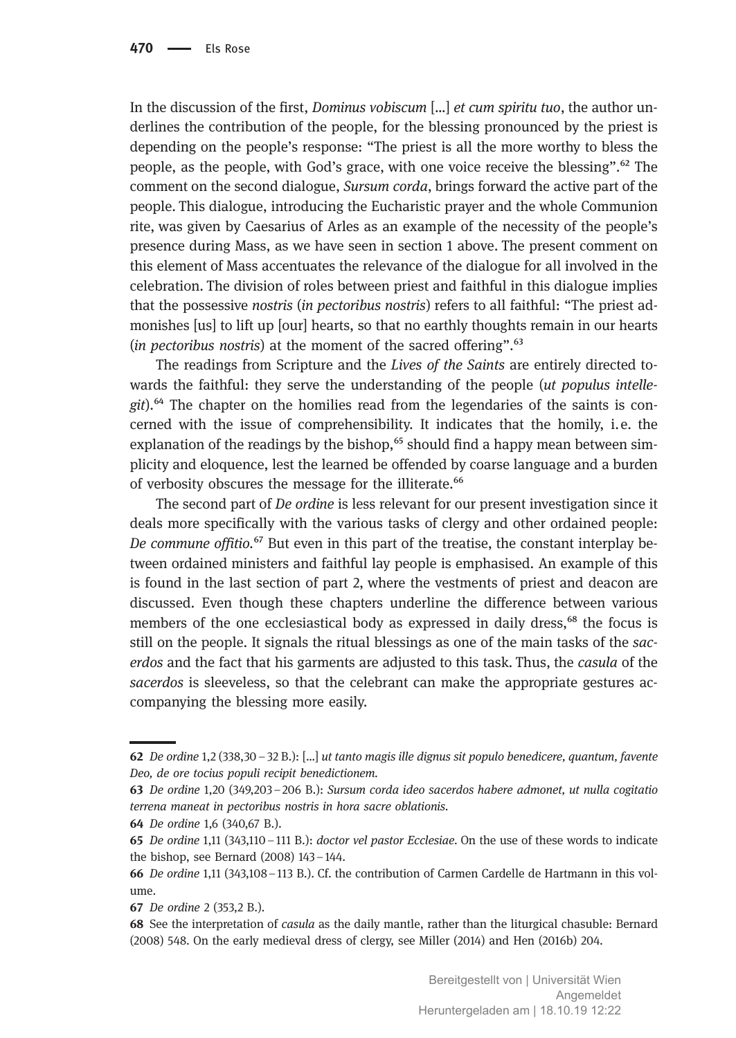In the discussion of the first, *Dominus vobiscum*  $\left[\ldots\right]$  *et cum spiritu tuo*, the author underlines the contribution of the people, for the blessing pronounced by the priest is depending on the people's response: "The priest is all the more worthy to bless the people, as the people, with God's grace, with one voice receive the blessing".<sup>62</sup> The comment on the second dialogue, Sursum corda, brings forward the active part of the people. This dialogue, introducing the Eucharistic prayer and the whole Communion rite, was given by Caesarius of Arles as an example of the necessity of the people's presence during Mass, as we have seen in section 1 above. The present comment on this element of Mass accentuates the relevance of the dialogue for all involved in the celebration. The division of roles between priest and faithful in this dialogue implies that the possessive nostris (in pectoribus nostris) refers to all faithful: "The priest admonishes [us] to lift up [our] hearts, so that no earthly thoughts remain in our hearts (in pectoribus nostris) at the moment of the sacred offering". $^{63}$ 

The readings from Scripture and the Lives of the Saints are entirely directed towards the faithful: they serve the understanding of the people (ut populus intellegit).<sup>64</sup> The chapter on the homilies read from the legendaries of the saints is concerned with the issue of comprehensibility. It indicates that the homily, i.e. the explanation of the readings by the bishop, $65$  should find a happy mean between simplicity and eloquence, lest the learned be offended by coarse language and a burden of verbosity obscures the message for the illiterate.<sup>66</sup>

The second part of De ordine is less relevant for our present investigation since it deals more specifically with the various tasks of clergy and other ordained people: De commune offitio. $\frac{67}{5}$  But even in this part of the treatise, the constant interplay between ordained ministers and faithful lay people is emphasised. An example of this is found in the last section of part 2, where the vestments of priest and deacon are discussed. Even though these chapters underline the difference between various members of the one ecclesiastical body as expressed in daily dress,<sup>68</sup> the focus is still on the people. It signals the ritual blessings as one of the main tasks of the sacerdos and the fact that his garments are adjusted to this task. Thus, the casula of the sacerdos is sleeveless, so that the celebrant can make the appropriate gestures accompanying the blessing more easily.

<sup>62</sup> De ordine 1,2 (338,30 – 32 B.): [...] ut tanto magis ille dignus sit populo benedicere, quantum, favente Deo, de ore tocius populi recipit benedictionem.

<sup>63</sup> De ordine 1,20 (349,203 – 206 B.): Sursum corda ideo sacerdos habere admonet, ut nulla cogitatio terrena maneat in pectoribus nostris in hora sacre oblationis.

<sup>64</sup> De ordine 1,6 (340,67 B.).

<sup>65</sup> De ordine 1,11 (343,110 – 111 B.): doctor vel pastor Ecclesiae. On the use of these words to indicate the bishop, see Bernard (2008) 143–144.

<sup>66</sup> De ordine 1,11 (343,108 – 113 B.). Cf. the contribution of Carmen Cardelle de Hartmann in this volume.

<sup>67</sup> De ordine 2 (353,2 B.).

<sup>68</sup> See the interpretation of *casula* as the daily mantle, rather than the liturgical chasuble: Bernard (2008) 548. On the early medieval dress of clergy, see Miller (2014) and Hen (2016b) 204.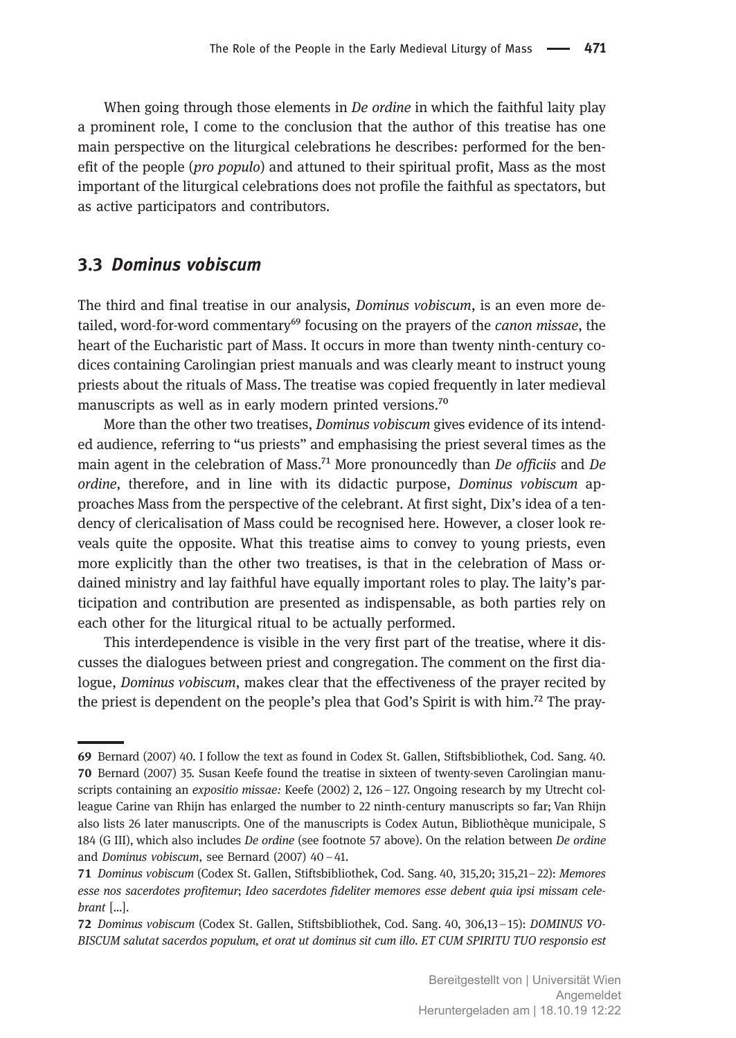When going through those elements in *De ordine* in which the faithful laity play a prominent role, I come to the conclusion that the author of this treatise has one main perspective on the liturgical celebrations he describes: performed for the benefit of the people (*pro populo*) and attuned to their spiritual profit, Mass as the most important of the liturgical celebrations does not profile the faithful as spectators, but as active participators and contributors.

#### 3.3 Dominus vobiscum

The third and final treatise in our analysis, Dominus vobiscum, is an even more detailed, word-for-word commentary<sup>69</sup> focusing on the prayers of the *canon missae*, the heart of the Eucharistic part of Mass. It occurs in more than twenty ninth-century codices containing Carolingian priest manuals and was clearly meant to instruct young priests about the rituals of Mass. The treatise was copied frequently in later medieval manuscripts as well as in early modern printed versions.<sup>70</sup>

More than the other two treatises, Dominus vobiscum gives evidence of its intended audience, referring to "us priests" and emphasising the priest several times as the main agent in the celebration of Mass.<sup>71</sup> More pronouncedly than *De officiis* and *De* ordine, therefore, and in line with its didactic purpose, Dominus vobiscum approaches Mass from the perspective of the celebrant. At first sight, Dix's idea of a tendency of clericalisation of Mass could be recognised here. However, a closer look reveals quite the opposite. What this treatise aims to convey to young priests, even more explicitly than the other two treatises, is that in the celebration of Mass ordained ministry and lay faithful have equally important roles to play. The laity's participation and contribution are presented as indispensable, as both parties rely on each other for the liturgical ritual to be actually performed.

This interdependence is visible in the very first part of the treatise, where it discusses the dialogues between priest and congregation. The comment on the first dialogue, Dominus vobiscum, makes clear that the effectiveness of the prayer recited by the priest is dependent on the people's plea that God's Spirit is with him.<sup>72</sup> The pray-

Bernard (2007) 40. I follow the text as found in Codex St. Gallen, Stiftsbibliothek, Cod. Sang. 40. Bernard (2007) 35. Susan Keefe found the treatise in sixteen of twenty-seven Carolingian manuscripts containing an expositio missae: Keefe (2002) 2, 126–127. Ongoing research by my Utrecht colleague Carine van Rhijn has enlarged the number to 22 ninth-century manuscripts so far; Van Rhijn also lists 26 later manuscripts. One of the manuscripts is Codex Autun, Bibliothèque municipale, S 184 (G III), which also includes De ordine (see footnote 57 above). On the relation between De ordine and Dominus vobiscum, see Bernard (2007) 40–41.

Dominus vobiscum (Codex St. Gallen, Stiftsbibliothek, Cod. Sang. 40, 315,20; 315,21–22): Memores esse nos sacerdotes profitemur; Ideo sacerdotes fideliter memores esse debent quia ipsi missam celebrant […].

<sup>72</sup> Dominus vobiscum (Codex St. Gallen, Stiftsbibliothek, Cod. Sang. 40, 306,13-15): DOMINUS VO-BISCUM salutat sacerdos populum, et orat ut dominus sit cum illo. ET CUM SPIRITU TUO responsio est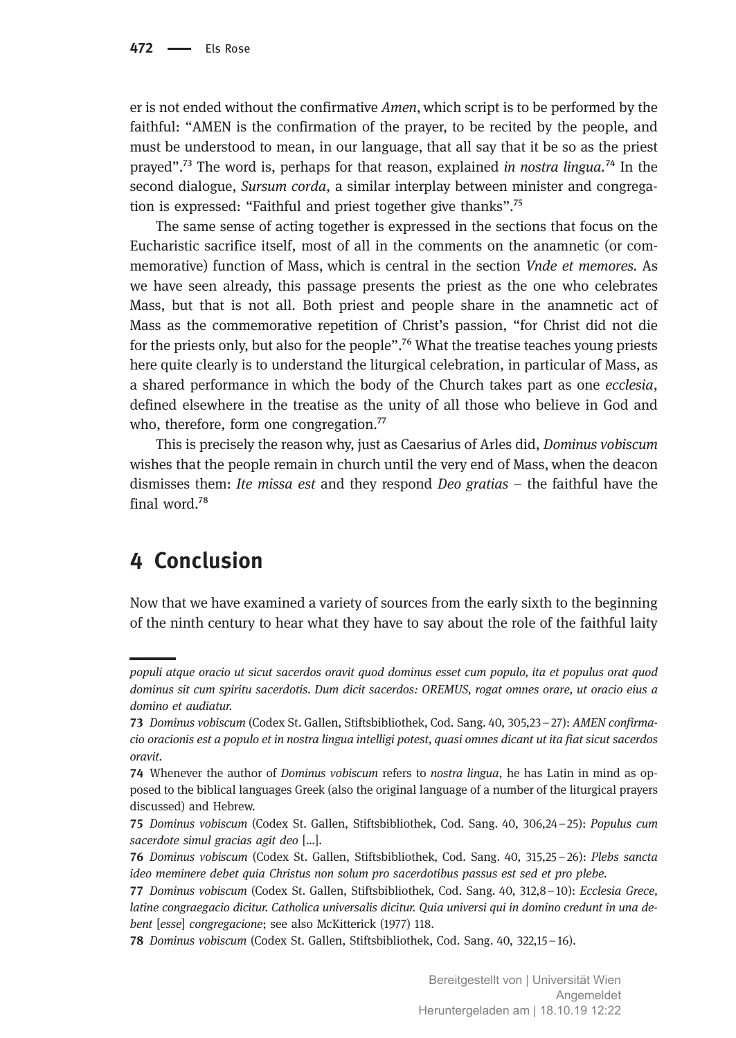er is not ended without the confirmative Amen, which script is to be performed by the faithful: "AMEN is the confirmation of the prayer, to be recited by the people, and must be understood to mean, in our language, that all say that it be so as the priest prayed".<sup>73</sup> The word is, perhaps for that reason, explained in nostra lingua.<sup>74</sup> In the second dialogue, *Sursum corda*, a similar interplay between minister and congregation is expressed: "Faithful and priest together give thanks".<sup>75</sup>

The same sense of acting together is expressed in the sections that focus on the Eucharistic sacrifice itself, most of all in the comments on the anamnetic (or commemorative) function of Mass, which is central in the section *Vnde et memores*. As we have seen already, this passage presents the priest as the one who celebrates Mass, but that is not all. Both priest and people share in the anamnetic act of Mass as the commemorative repetition of Christ's passion, "for Christ did not die for the priests only, but also for the people".<sup>76</sup> What the treatise teaches young priests here quite clearly is to understand the liturgical celebration, in particular of Mass, as a shared performance in which the body of the Church takes part as one ecclesia, defined elsewhere in the treatise as the unity of all those who believe in God and who, therefore, form one congregation.<sup>77</sup>

This is precisely the reason why, just as Caesarius of Arles did, Dominus vobiscum wishes that the people remain in church until the very end of Mass, when the deacon dismisses them: Ite missa est and they respond Deo gratias – the faithful have the final word. $78$ 

# 4 Conclusion

Now that we have examined a variety of sources from the early sixth to the beginning of the ninth century to hear what they have to say about the role of the faithful laity

populi atque oracio ut sicut sacerdos oravit quod dominus esset cum populo, ita et populus orat quod dominus sit cum spiritu sacerdotis. Dum dicit sacerdos: OREMUS, rogat omnes orare, ut oracio eius a domino et audiatur.

<sup>73</sup> Dominus vobiscum (Codex St. Gallen, Stiftsbibliothek, Cod. Sang. 40, 305,23 – 27): AMEN confirmacio oracionis est a populo et in nostra lingua intelligi potest, quasi omnes dicant ut ita fiat sicut sacerdos oravit.

<sup>74</sup> Whenever the author of *Dominus vobiscum* refers to *nostra lingua*, he has Latin in mind as opposed to the biblical languages Greek (also the original language of a number of the liturgical prayers discussed) and Hebrew.

<sup>75</sup> Dominus vobiscum (Codex St. Gallen, Stiftsbibliothek, Cod. Sang. 40, 306,24-25): Populus cum sacerdote simul gracias agit deo […].

<sup>76</sup> Dominus vobiscum (Codex St. Gallen, Stiftsbibliothek, Cod. Sang. 40, 315,25-26): Plebs sancta ideo meminere debet quia Christus non solum pro sacerdotibus passus est sed et pro plebe.

<sup>77</sup> Dominus vobiscum (Codex St. Gallen, Stiftsbibliothek, Cod. Sang. 40, 312,8-10): Ecclesia Grece, latine congraegacio dicitur. Catholica universalis dicitur. Quia universi qui in domino credunt in una debent [esse] congregacione; see also McKitterick (1977) 118.

<sup>78</sup> Dominus vobiscum (Codex St. Gallen, Stiftsbibliothek, Cod. Sang. 40, 322,15-16).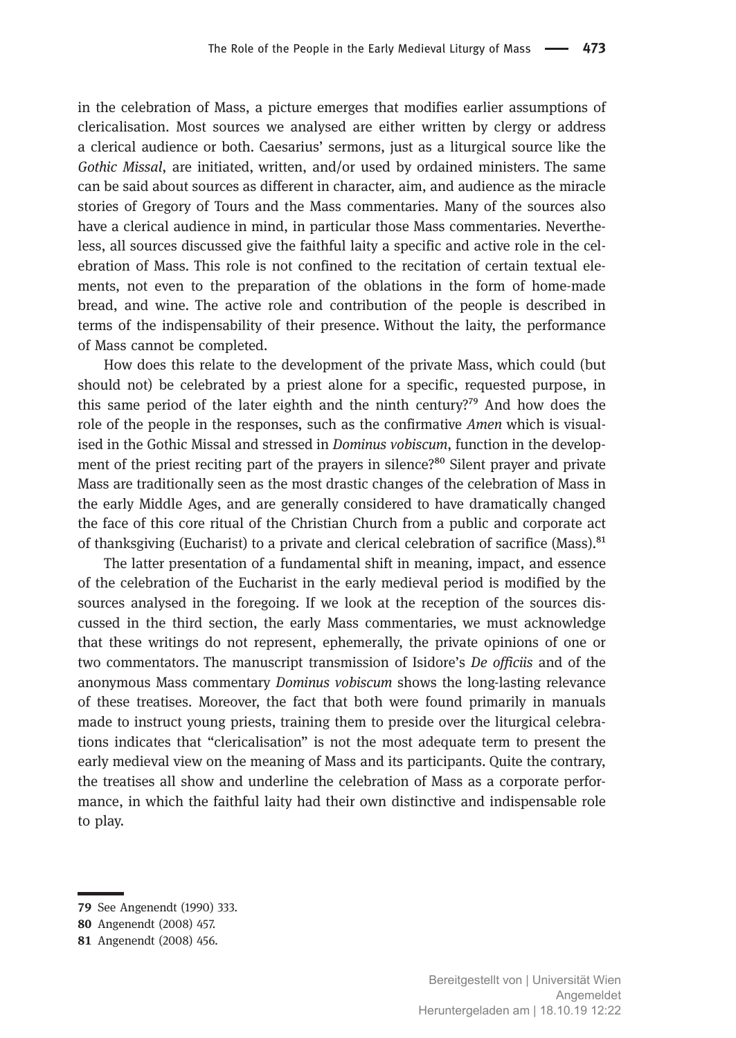in the celebration of Mass, a picture emerges that modifies earlier assumptions of clericalisation. Most sources we analysed are either written by clergy or address a clerical audience or both. Caesarius' sermons, just as a liturgical source like the Gothic Missal, are initiated, written, and/or used by ordained ministers. The same can be said about sources as different in character, aim, and audience as the miracle stories of Gregory of Tours and the Mass commentaries. Many of the sources also have a clerical audience in mind, in particular those Mass commentaries. Nevertheless, all sources discussed give the faithful laity a specific and active role in the celebration of Mass. This role is not confined to the recitation of certain textual elements, not even to the preparation of the oblations in the form of home-made bread, and wine. The active role and contribution of the people is described in terms of the indispensability of their presence. Without the laity, the performance of Mass cannot be completed.

How does this relate to the development of the private Mass, which could (but should not) be celebrated by a priest alone for a specific, requested purpose, in this same period of the later eighth and the ninth century?<sup>79</sup> And how does the role of the people in the responses, such as the confirmative Amen which is visualised in the Gothic Missal and stressed in Dominus vobiscum, function in the development of the priest reciting part of the prayers in silence?<sup>80</sup> Silent prayer and private Mass are traditionally seen as the most drastic changes of the celebration of Mass in the early Middle Ages, and are generally considered to have dramatically changed the face of this core ritual of the Christian Church from a public and corporate act of thanksgiving (Eucharist) to a private and clerical celebration of sacrifice (Mass). $81$ 

The latter presentation of a fundamental shift in meaning, impact, and essence of the celebration of the Eucharist in the early medieval period is modified by the sources analysed in the foregoing. If we look at the reception of the sources discussed in the third section, the early Mass commentaries, we must acknowledge that these writings do not represent, ephemerally, the private opinions of one or two commentators. The manuscript transmission of Isidore's De officiis and of the anonymous Mass commentary Dominus vobiscum shows the long-lasting relevance of these treatises. Moreover, the fact that both were found primarily in manuals made to instruct young priests, training them to preside over the liturgical celebrations indicates that "clericalisation" is not the most adequate term to present the early medieval view on the meaning of Mass and its participants. Quite the contrary, the treatises all show and underline the celebration of Mass as a corporate performance, in which the faithful laity had their own distinctive and indispensable role to play.

<sup>79</sup> See Angenendt (1990) 333.

Angenendt (2008) 457.

Angenendt (2008) 456.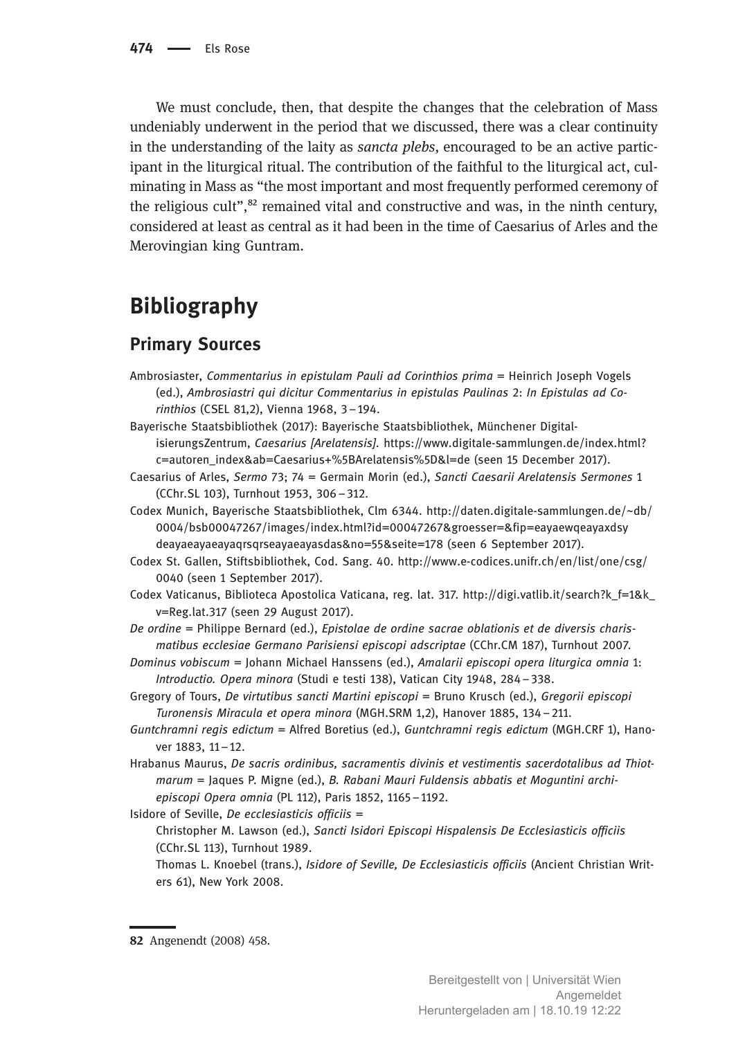We must conclude, then, that despite the changes that the celebration of Mass undeniably underwent in the period that we discussed, there was a clear continuity in the understanding of the laity as *sancta plebs*, encouraged to be an active participant in the liturgical ritual. The contribution of the faithful to the liturgical act, culminating in Mass as "the most important and most frequently performed ceremony of the religious cult", $^{82}$  remained vital and constructive and was, in the ninth century, considered at least as central as it had been in the time of Caesarius of Arles and the Merovingian king Guntram.

## Bibliography

## Primary Sources

- Ambrosiaster, Commentarius in epistulam Pauli ad Corinthios prima = Heinrich Joseph Vogels (ed.), Ambrosiastri qui dicitur Commentarius in epistulas Paulinas 2: In Epistulas ad Corinthios (CSEL 81,2), Vienna 1968, 3–194.
- Bayerische Staatsbibliothek (2017): Bayerische Staatsbibliothek, Münchener DigitalisierungsZentrum, Caesarius [Arelatensis]. https://www.digitale-sammlungen.de/index.html? c=autoren\_index&ab=Caesarius+%5BArelatensis%5D&l=de (seen 15 December 2017).
- Caesarius of Arles, Sermo 73; 74 = Germain Morin (ed.), Sancti Caesarii Arelatensis Sermones 1 (CChr.SL 103), Turnhout 1953, 306–312.
- Codex Munich, Bayerische Staatsbibliothek, Clm 6344. http://daten.digitale-sammlungen.de/~db/ 0004/bsb00047267/images/index.html?id=00047267&groesser=&fip=eayaewqeayaxdsy deayaeayaeayaqrsqrseayaeayasdas&no=55&seite=178 (seen 6 September 2017).
- Codex St. Gallen, Stiftsbibliothek, Cod. Sang. 40. http://www.e-codices.unifr.ch/en/list/one/csg/ 0040 (seen 1 September 2017).
- Codex Vaticanus, Biblioteca Apostolica Vaticana, reg. lat. 317. http://digi.vatlib.it/search?k\_f=1&k\_ v=Reg.lat.317 (seen 29 August 2017).
- De ordine = Philippe Bernard (ed.), Epistolae de ordine sacrae oblationis et de diversis charismatibus ecclesiae Germano Parisiensi episcopi adscriptae (CChr.CM 187), Turnhout 2007.
- Dominus vobiscum = Johann Michael Hanssens (ed.), Amalarii episcopi opera liturgica omnia 1: Introductio. Opera minora (Studi e testi 138), Vatican City 1948, 284–338.
- Gregory of Tours, De virtutibus sancti Martini episcopi = Bruno Krusch (ed.), Gregorii episcopi Turonensis Miracula et opera minora (MGH.SRM 1,2), Hanover 1885, 134–211.
- Guntchramni regis edictum = Alfred Boretius (ed.), Guntchramni regis edictum (MGH.CRF 1), Hanover 1883, 11–12.
- Hrabanus Maurus, De sacris ordinibus, sacramentis divinis et vestimentis sacerdotalibus ad Thiotmarum = Jaques P. Migne (ed.), B. Rabani Mauri Fuldensis abbatis et Moguntini archiepiscopi Opera omnia (PL 112), Paris 1852, 1165–1192.

Isidore of Seville, De ecclesiasticis officiis =

Christopher M. Lawson (ed.), Sancti Isidori Episcopi Hispalensis De Ecclesiasticis officiis (CChr.SL 113), Turnhout 1989.

Thomas L. Knoebel (trans.), Isidore of Seville, De Ecclesiasticis officiis (Ancient Christian Writers 61), New York 2008.

<sup>82</sup> Angenendt (2008) 458.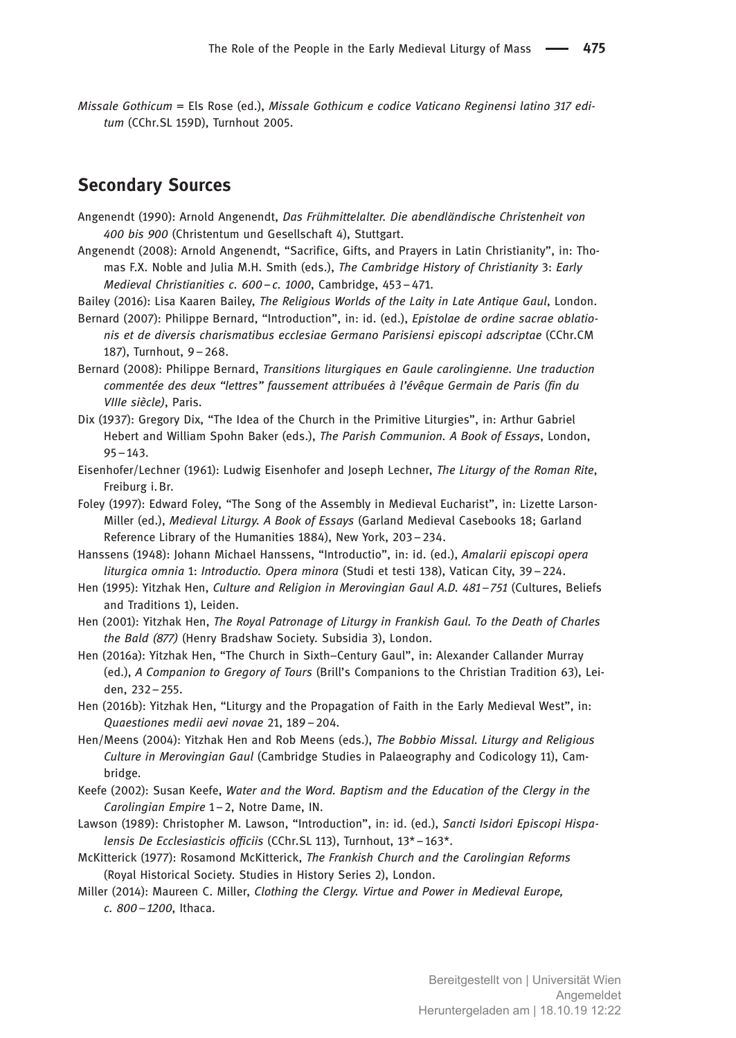Missale Gothicum = Els Rose (ed.), Missale Gothicum e codice Vaticano Reginensi latino 317 editum (CChr.SL 159D), Turnhout 2005.

#### Secondary Sources

- Angenendt (1990): Arnold Angenendt, Das Frühmittelalter. Die abendländische Christenheit von 400 bis 900 (Christentum und Gesellschaft 4), Stuttgart.
- Angenendt (2008): Arnold Angenendt, "Sacrifice, Gifts, and Prayers in Latin Christianity", in: Thomas F.X. Noble and Julia M.H. Smith (eds.), The Cambridge History of Christianity 3: Early Medieval Christianities c. 600–c. 1000, Cambridge, 453–471.
- Bailey (2016): Lisa Kaaren Bailey, The Religious Worlds of the Laity in Late Antique Gaul, London. Bernard (2007): Philippe Bernard, "Introduction", in: id. (ed.), Epistolae de ordine sacrae oblatio-
- nis et de diversis charismatibus ecclesiae Germano Parisiensi episcopi adscriptae (CChr.CM 187), Turnhout, 9–268.
- Bernard (2008): Philippe Bernard, Transitions liturgiques en Gaule carolingienne. Une traduction commentée des deux "lettres" faussement attribuées à l'évêque Germain de Paris (fin du VIIIe siècle), Paris.
- Dix (1937): Gregory Dix, "The Idea of the Church in the Primitive Liturgies", in: Arthur Gabriel Hebert and William Spohn Baker (eds.), The Parish Communion. A Book of Essays, London, 95–143.
- Eisenhofer/Lechner (1961): Ludwig Eisenhofer and Joseph Lechner, The Liturgy of the Roman Rite, Freiburg i. Br.
- Foley (1997): Edward Foley, "The Song of the Assembly in Medieval Eucharist", in: Lizette Larson-Miller (ed.), Medieval Liturgy. A Book of Essays (Garland Medieval Casebooks 18; Garland Reference Library of the Humanities 1884), New York, 203–234.
- Hanssens (1948): Johann Michael Hanssens, "Introductio", in: id. (ed.), Amalarii episcopi opera liturgica omnia 1: Introductio. Opera minora (Studi et testi 138), Vatican City, 39–224.
- Hen (1995): Yitzhak Hen, Culture and Religion in Merovingian Gaul A.D. 481-751 (Cultures, Beliefs and Traditions 1), Leiden.
- Hen (2001): Yitzhak Hen, The Royal Patronage of Liturgy in Frankish Gaul. To the Death of Charles the Bald (877) (Henry Bradshaw Society. Subsidia 3), London.
- Hen (2016a): Yitzhak Hen, "The Church in Sixth–Century Gaul", in: Alexander Callander Murray (ed.), A Companion to Gregory of Tours (Brill's Companions to the Christian Tradition 63), Leiden, 232–255.
- Hen (2016b): Yitzhak Hen, "Liturgy and the Propagation of Faith in the Early Medieval West", in: Quaestiones medii aevi novae 21, 189–204.
- Hen/Meens (2004): Yitzhak Hen and Rob Meens (eds.), The Bobbio Missal. Liturgy and Religious Culture in Merovingian Gaul (Cambridge Studies in Palaeography and Codicology 11), Cambridge.
- Keefe (2002): Susan Keefe, Water and the Word. Baptism and the Education of the Clergy in the Carolingian Empire 1–2, Notre Dame, IN.
- Lawson (1989): Christopher M. Lawson, "Introduction", in: id. (ed.), Sancti Isidori Episcopi Hispalensis De Ecclesiasticis officiis (CChr.SL 113), Turnhout, 13\*–163\*.
- McKitterick (1977): Rosamond McKitterick, The Frankish Church and the Carolingian Reforms (Royal Historical Society. Studies in History Series 2), London.
- Miller (2014): Maureen C. Miller, Clothing the Clergy. Virtue and Power in Medieval Europe, c. 800–1200, Ithaca.